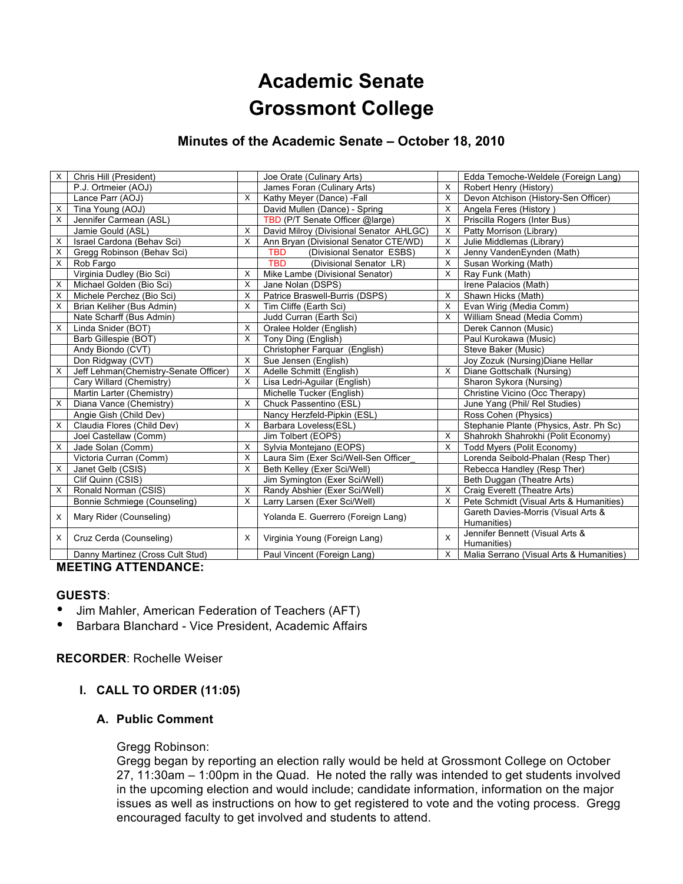# **Academic Senate Grossmont College**

## **Minutes of the Academic Senate – October 18, 2010**

| X | Chris Hill (President)                |              | Joe Orate (Culinary Arts)               |   | Edda Temoche-Weldele (Foreign Lang)                |
|---|---------------------------------------|--------------|-----------------------------------------|---|----------------------------------------------------|
|   | P.J. Ortmeier (AOJ)                   |              | James Foran (Culinary Arts)             | X | Robert Henry (History)                             |
|   | Lance Parr (AOJ)                      | X            | Kathy Meyer (Dance) - Fall              | X | Devon Atchison (History-Sen Officer)               |
| х | Tina Young (AOJ)                      |              | David Mullen (Dance) - Spring           | X | Angela Feres (History)                             |
| X | Jennifer Carmean (ASL)                |              | TBD (P/T Senate Officer @large)         | X | Priscilla Rogers (Inter Bus)                       |
|   | Jamie Gould (ASL)                     | X            | David Milroy (Divisional Senator AHLGC) | X | Patty Morrison (Library)                           |
| X | Israel Cardona (Behav Sci)            | X            | Ann Bryan (Divisional Senator CTE/WD)   | X | Julie Middlemas (Library)                          |
| X | Gregg Robinson (Behav Sci)            |              | TBD<br>(Divisional Senator ESBS)        | X | Jenny VandenEynden (Math)                          |
| X | Rob Fargo                             |              | <b>TBD</b><br>(Divisional Senator LR)   | X | Susan Working (Math)                               |
|   | Virginia Dudley (Bio Sci)             | X            | Mike Lambe (Divisional Senator)         | X | Ray Funk (Math)                                    |
| X | Michael Golden (Bio Sci)              | X            | Jane Nolan (DSPS)                       |   | Irene Palacios (Math)                              |
| X | Michele Perchez (Bio Sci)             | X            | Patrice Braswell-Burris (DSPS)          | X | Shawn Hicks (Math)                                 |
| X | Brian Keliher (Bus Admin)             | X            | Tim Cliffe (Earth Sci)                  | X | Evan Wirig (Media Comm)                            |
|   | Nate Scharff (Bus Admin)              |              | Judd Curran (Earth Sci)                 | X | William Snead (Media Comm)                         |
| X | Linda Snider (BOT)                    | $\mathsf{X}$ | Oralee Holder (English)                 |   | Derek Cannon (Music)                               |
|   | Barb Gillespie (BOT)                  | $\mathsf{X}$ | Tony Ding (English)                     |   | Paul Kurokawa (Music)                              |
|   | Andy Biondo (CVT)                     |              | Christopher Farquar (English)           |   | Steve Baker (Music)                                |
|   | Don Ridgway (CVT)                     | $\times$     | Sue Jensen (English)                    |   | Joy Zozuk (Nursing) Diane Hellar                   |
| X | Jeff Lehman(Chemistry-Senate Officer) | X            | Adelle Schmitt (English)                | X | Diane Gottschalk (Nursing)                         |
|   | Cary Willard (Chemistry)              | $\times$     | Lisa Ledri-Aquilar (English)            |   | Sharon Sykora (Nursing)                            |
|   | Martin Larter (Chemistry)             |              | Michelle Tucker (English)               |   | Christine Vicino (Occ Therapy)                     |
| X | Diana Vance (Chemistry)               | $\mathsf{X}$ | Chuck Passentino (ESL)                  |   | June Yang (Phil/ Rel Studies)                      |
|   | Angie Gish (Child Dev)                |              | Nancy Herzfeld-Pipkin (ESL)             |   | Ross Cohen (Physics)                               |
| X | Claudia Flores (Child Dev)            | X            | Barbara Loveless(ESL)                   |   | Stephanie Plante (Physics, Astr. Ph Sc)            |
|   | Joel Castellaw (Comm)                 |              | Jim Tolbert (EOPS)                      | X | Shahrokh Shahrokhi (Polit Economy)                 |
| X | Jade Solan (Comm)                     | X            | Sylvia Montejano (EOPS)                 | X | Todd Myers (Polit Economy)                         |
|   | Victoria Curran (Comm)                | X            | Laura Sim (Exer Sci/Well-Sen Officer    |   | Lorenda Seibold-Phalan (Resp Ther)                 |
| X | Janet Gelb (CSIS)                     | X            | Beth Kelley (Exer Sci/Well)             |   | Rebecca Handley (Resp Ther)                        |
|   | Clif Quinn (CSIS)                     |              | Jim Symington (Exer Sci/Well)           |   | Beth Duggan (Theatre Arts)                         |
| X | Ronald Norman (CSIS)                  | X            | Randy Abshier (Exer Sci/Well)           | X | Craig Everett (Theatre Arts)                       |
|   | Bonnie Schmiege (Counseling)          | X            | Larry Larsen (Exer Sci/Well)            | X | Pete Schmidt (Visual Arts & Humanities)            |
| X | Mary Rider (Counseling)               |              | Yolanda E. Guerrero (Foreign Lang)      |   | Gareth Davies-Morris (Visual Arts &<br>Humanities) |
| X | Cruz Cerda (Counseling)               | X            | Virginia Young (Foreign Lang)           | X | Jennifer Bennett (Visual Arts &<br>Humanities)     |
|   | Danny Martinez (Cross Cult Stud)      |              | Paul Vincent (Foreign Lang)             | X | Malia Serrano (Visual Arts & Humanities)           |

#### **MEETING ATTENDANCE:**

## **GUESTS**:

- Jim Mahler, American Federation of Teachers (AFT)<br>• Barbara Blanchard Vice President Academic Affairs
- Barbara Blanchard Vice President, Academic Affairs

## **RECORDER**: Rochelle Weiser

## **I. CALL TO ORDER (11:05)**

## **A. Public Comment**

#### Gregg Robinson:

Gregg began by reporting an election rally would be held at Grossmont College on October 27, 11:30am – 1:00pm in the Quad. He noted the rally was intended to get students involved in the upcoming election and would include; candidate information, information on the major issues as well as instructions on how to get registered to vote and the voting process. Gregg encouraged faculty to get involved and students to attend.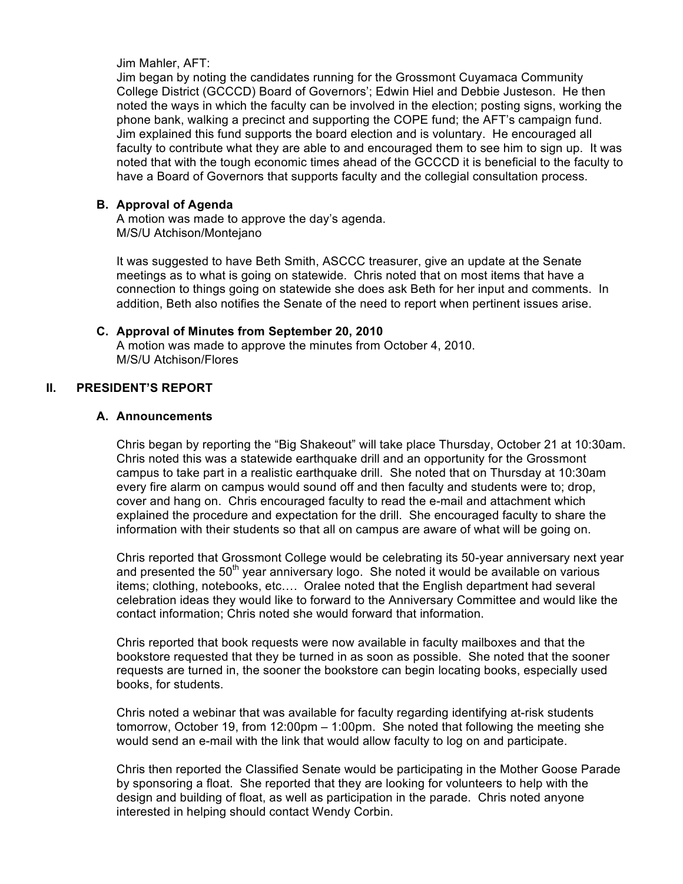Jim Mahler, AFT:

Jim began by noting the candidates running for the Grossmont Cuyamaca Community College District (GCCCD) Board of Governors'; Edwin Hiel and Debbie Justeson. He then noted the ways in which the faculty can be involved in the election; posting signs, working the phone bank, walking a precinct and supporting the COPE fund; the AFT's campaign fund. Jim explained this fund supports the board election and is voluntary. He encouraged all faculty to contribute what they are able to and encouraged them to see him to sign up. It was noted that with the tough economic times ahead of the GCCCD it is beneficial to the faculty to have a Board of Governors that supports faculty and the collegial consultation process.

#### **B. Approval of Agenda**

A motion was made to approve the day's agenda. M/S/U Atchison/Montejano

It was suggested to have Beth Smith, ASCCC treasurer, give an update at the Senate meetings as to what is going on statewide. Chris noted that on most items that have a connection to things going on statewide she does ask Beth for her input and comments. In addition, Beth also notifies the Senate of the need to report when pertinent issues arise.

## **C. Approval of Minutes from September 20, 2010**

A motion was made to approve the minutes from October 4, 2010. M/S/U Atchison/Flores

#### **II. PRESIDENT'S REPORT**

#### **A. Announcements**

Chris began by reporting the "Big Shakeout" will take place Thursday, October 21 at 10:30am. Chris noted this was a statewide earthquake drill and an opportunity for the Grossmont campus to take part in a realistic earthquake drill. She noted that on Thursday at 10:30am every fire alarm on campus would sound off and then faculty and students were to; drop, cover and hang on. Chris encouraged faculty to read the e-mail and attachment which explained the procedure and expectation for the drill. She encouraged faculty to share the information with their students so that all on campus are aware of what will be going on.

Chris reported that Grossmont College would be celebrating its 50-year anniversary next year and presented the  $50<sup>th</sup>$  year anniversary logo. She noted it would be available on various items; clothing, notebooks, etc…. Oralee noted that the English department had several celebration ideas they would like to forward to the Anniversary Committee and would like the contact information; Chris noted she would forward that information.

Chris reported that book requests were now available in faculty mailboxes and that the bookstore requested that they be turned in as soon as possible. She noted that the sooner requests are turned in, the sooner the bookstore can begin locating books, especially used books, for students.

Chris noted a webinar that was available for faculty regarding identifying at-risk students tomorrow, October 19, from 12:00pm – 1:00pm. She noted that following the meeting she would send an e-mail with the link that would allow faculty to log on and participate.

Chris then reported the Classified Senate would be participating in the Mother Goose Parade by sponsoring a float. She reported that they are looking for volunteers to help with the design and building of float, as well as participation in the parade. Chris noted anyone interested in helping should contact Wendy Corbin.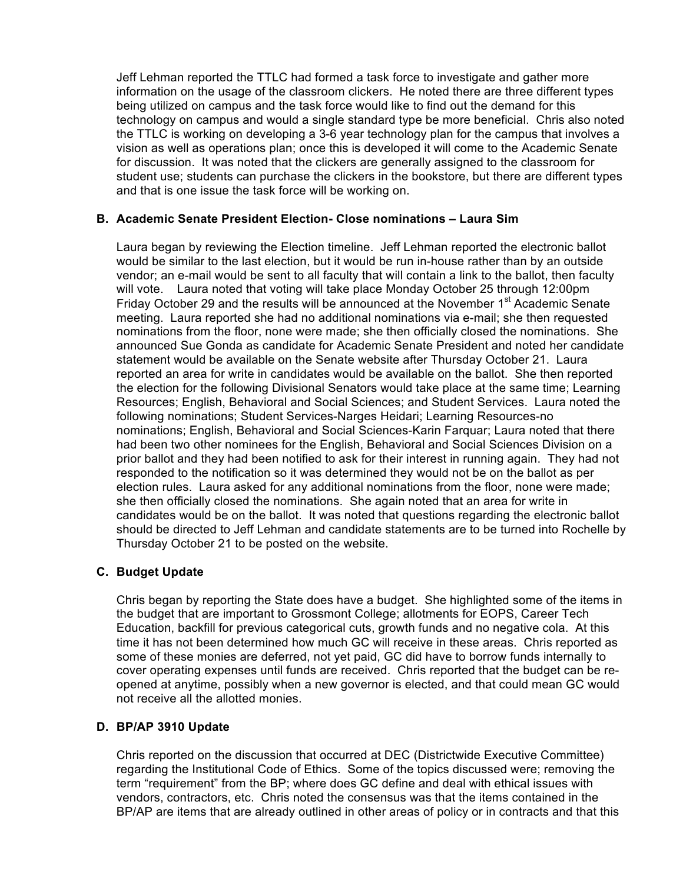Jeff Lehman reported the TTLC had formed a task force to investigate and gather more information on the usage of the classroom clickers. He noted there are three different types being utilized on campus and the task force would like to find out the demand for this technology on campus and would a single standard type be more beneficial. Chris also noted the TTLC is working on developing a 3-6 year technology plan for the campus that involves a vision as well as operations plan; once this is developed it will come to the Academic Senate for discussion. It was noted that the clickers are generally assigned to the classroom for student use; students can purchase the clickers in the bookstore, but there are different types and that is one issue the task force will be working on.

## **B. Academic Senate President Election- Close nominations – Laura Sim**

Laura began by reviewing the Election timeline. Jeff Lehman reported the electronic ballot would be similar to the last election, but it would be run in-house rather than by an outside vendor; an e-mail would be sent to all faculty that will contain a link to the ballot, then faculty will vote. Laura noted that voting will take place Monday October 25 through 12:00pm Friday October 29 and the results will be announced at the November  $1<sup>st</sup>$  Academic Senate meeting. Laura reported she had no additional nominations via e-mail; she then requested nominations from the floor, none were made; she then officially closed the nominations. She announced Sue Gonda as candidate for Academic Senate President and noted her candidate statement would be available on the Senate website after Thursday October 21. Laura reported an area for write in candidates would be available on the ballot. She then reported the election for the following Divisional Senators would take place at the same time; Learning Resources; English, Behavioral and Social Sciences; and Student Services. Laura noted the following nominations; Student Services-Narges Heidari; Learning Resources-no nominations; English, Behavioral and Social Sciences-Karin Farquar; Laura noted that there had been two other nominees for the English, Behavioral and Social Sciences Division on a prior ballot and they had been notified to ask for their interest in running again. They had not responded to the notification so it was determined they would not be on the ballot as per election rules. Laura asked for any additional nominations from the floor, none were made; she then officially closed the nominations. She again noted that an area for write in candidates would be on the ballot. It was noted that questions regarding the electronic ballot should be directed to Jeff Lehman and candidate statements are to be turned into Rochelle by Thursday October 21 to be posted on the website.

#### **C. Budget Update**

Chris began by reporting the State does have a budget. She highlighted some of the items in the budget that are important to Grossmont College; allotments for EOPS, Career Tech Education, backfill for previous categorical cuts, growth funds and no negative cola. At this time it has not been determined how much GC will receive in these areas. Chris reported as some of these monies are deferred, not yet paid, GC did have to borrow funds internally to cover operating expenses until funds are received. Chris reported that the budget can be reopened at anytime, possibly when a new governor is elected, and that could mean GC would not receive all the allotted monies.

#### **D. BP/AP 3910 Update**

Chris reported on the discussion that occurred at DEC (Districtwide Executive Committee) regarding the Institutional Code of Ethics. Some of the topics discussed were; removing the term "requirement" from the BP; where does GC define and deal with ethical issues with vendors, contractors, etc. Chris noted the consensus was that the items contained in the BP/AP are items that are already outlined in other areas of policy or in contracts and that this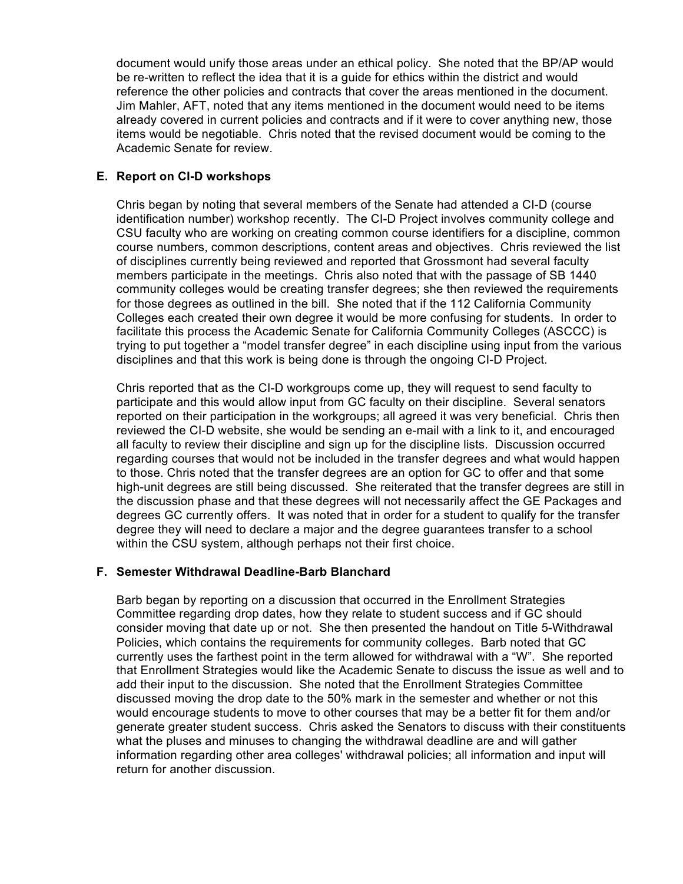document would unify those areas under an ethical policy. She noted that the BP/AP would be re-written to reflect the idea that it is a guide for ethics within the district and would reference the other policies and contracts that cover the areas mentioned in the document. Jim Mahler, AFT, noted that any items mentioned in the document would need to be items already covered in current policies and contracts and if it were to cover anything new, those items would be negotiable. Chris noted that the revised document would be coming to the Academic Senate for review.

#### **E. Report on CI-D workshops**

Chris began by noting that several members of the Senate had attended a CI-D (course identification number) workshop recently. The CI-D Project involves community college and CSU faculty who are working on creating common course identifiers for a discipline, common course numbers, common descriptions, content areas and objectives. Chris reviewed the list of disciplines currently being reviewed and reported that Grossmont had several faculty members participate in the meetings. Chris also noted that with the passage of SB 1440 community colleges would be creating transfer degrees; she then reviewed the requirements for those degrees as outlined in the bill. She noted that if the 112 California Community Colleges each created their own degree it would be more confusing for students. In order to facilitate this process the Academic Senate for California Community Colleges (ASCCC) is trying to put together a "model transfer degree" in each discipline using input from the various disciplines and that this work is being done is through the ongoing CI-D Project.

Chris reported that as the CI-D workgroups come up, they will request to send faculty to participate and this would allow input from GC faculty on their discipline. Several senators reported on their participation in the workgroups; all agreed it was very beneficial. Chris then reviewed the CI-D website, she would be sending an e-mail with a link to it, and encouraged all faculty to review their discipline and sign up for the discipline lists. Discussion occurred regarding courses that would not be included in the transfer degrees and what would happen to those. Chris noted that the transfer degrees are an option for GC to offer and that some high-unit degrees are still being discussed. She reiterated that the transfer degrees are still in the discussion phase and that these degrees will not necessarily affect the GE Packages and degrees GC currently offers. It was noted that in order for a student to qualify for the transfer degree they will need to declare a major and the degree guarantees transfer to a school within the CSU system, although perhaps not their first choice.

#### **F. Semester Withdrawal Deadline-Barb Blanchard**

Barb began by reporting on a discussion that occurred in the Enrollment Strategies Committee regarding drop dates, how they relate to student success and if GC should consider moving that date up or not. She then presented the handout on Title 5-Withdrawal Policies, which contains the requirements for community colleges. Barb noted that GC currently uses the farthest point in the term allowed for withdrawal with a "W". She reported that Enrollment Strategies would like the Academic Senate to discuss the issue as well and to add their input to the discussion. She noted that the Enrollment Strategies Committee discussed moving the drop date to the 50% mark in the semester and whether or not this would encourage students to move to other courses that may be a better fit for them and/or generate greater student success. Chris asked the Senators to discuss with their constituents what the pluses and minuses to changing the withdrawal deadline are and will gather information regarding other area colleges' withdrawal policies; all information and input will return for another discussion.